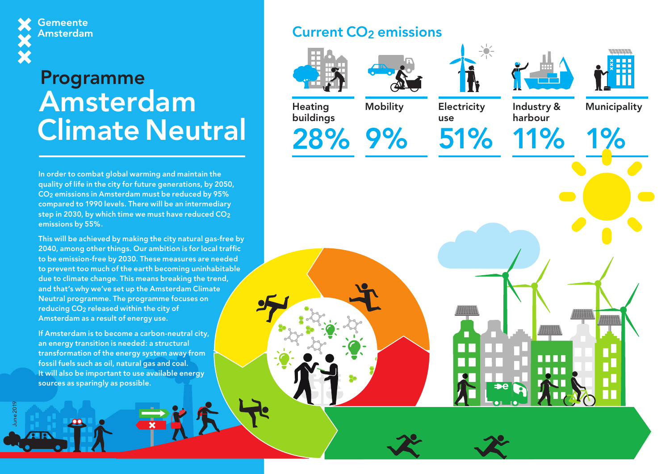**Gemeente Amsterdam** 

# Programme Amsterdam Climate Neutral

In order to combat global warming and maintain the quality of life in the city for future generations, by 2050, CO2 emissions in Amsterdam must be reduced by 95% compared to 1990 levels. There will be an intermediary step in 2030, by which time we must have reduced  $CO<sub>2</sub>$ emissions by 55%.

This will be achieved by making the city natural gas-free by 2040, among other things. Our ambition is for local traffic to be emission-free by 2030. These measures are needed to prevent too much of the earth becoming uninhabitable due to climate change. This means breaking the trend, and that's why we've set up the Amsterdam Climate Neutral programme. The programme focuses on reducing CO<sub>2</sub> released within the city of Amsterdam as a result of energy use.

If Amsterdam is to become a carbon-neutral city, an energy transition is needed: a structural transformation of the energy system away from fossil fuels such as oil, natural gas and coal. It will also be important to use available energy sources as sparingly as possible.

June 2019

## **Current CO<sub>2</sub>** emissions





Mobility







**Heating** buildings

28% 9%

**Electricity** use

51% 11% Industry & harbour

n na mar

Municipality

1%